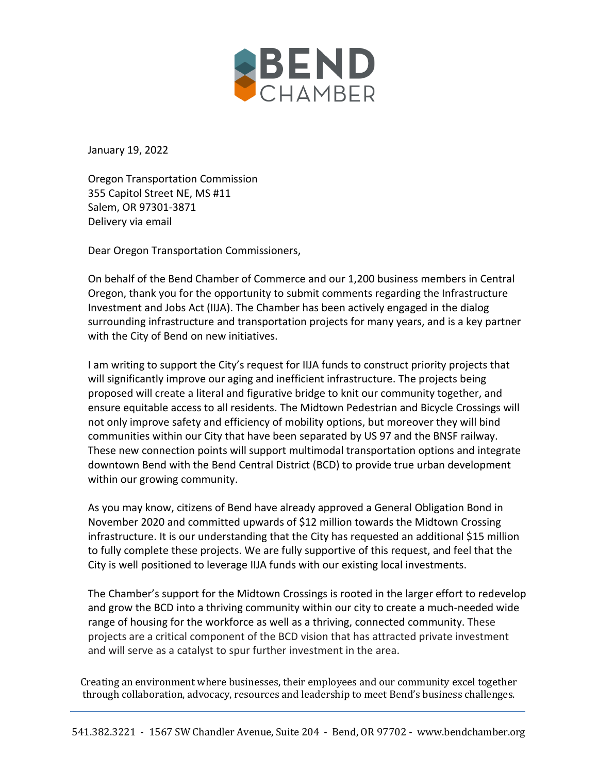

January 19, 2022

Oregon Transportation Commission 355 Capitol Street NE, MS #11 Salem, OR 97301-3871 Delivery via email

Dear Oregon Transportation Commissioners,

On behalf of the Bend Chamber of Commerce and our 1,200 business members in Central Oregon, thank you for the opportunity to submit comments regarding the Infrastructure Investment and Jobs Act (IIJA). The Chamber has been actively engaged in the dialog surrounding infrastructure and transportation projects for many years, and is a key partner with the City of Bend on new initiatives.

I am writing to support the City's request for IIJA funds to construct priority projects that will significantly improve our aging and inefficient infrastructure. The projects being proposed will create a literal and figurative bridge to knit our community together, and ensure equitable access to all residents. The Midtown Pedestrian and Bicycle Crossings will not only improve safety and efficiency of mobility options, but moreover they will bind communities within our City that have been separated by US 97 and the BNSF railway. These new connection points will support multimodal transportation options and integrate downtown Bend with the Bend Central District (BCD) to provide true urban development within our growing community.

As you may know, citizens of Bend have already approved a General Obligation Bond in November 2020 and committed upwards of \$12 million towards the Midtown Crossing infrastructure. It is our understanding that the City has requested an additional \$15 million to fully complete these projects. We are fully supportive of this request, and feel that the City is well positioned to leverage IIJA funds with our existing local investments.

The Chamber's support for the Midtown Crossings is rooted in the larger effort to redevelop and grow the BCD into a thriving community within our city to create a much-needed wide range of housing for the workforce as well as a thriving, connected community. These projects are a critical component of the BCD vision that has attracted private investment and will serve as a catalyst to spur further investment in the area.

Creating an environment where businesses, their employees and our community excel together through collaboration, advocacy, resources and leadership to meet Bend's business challenges.